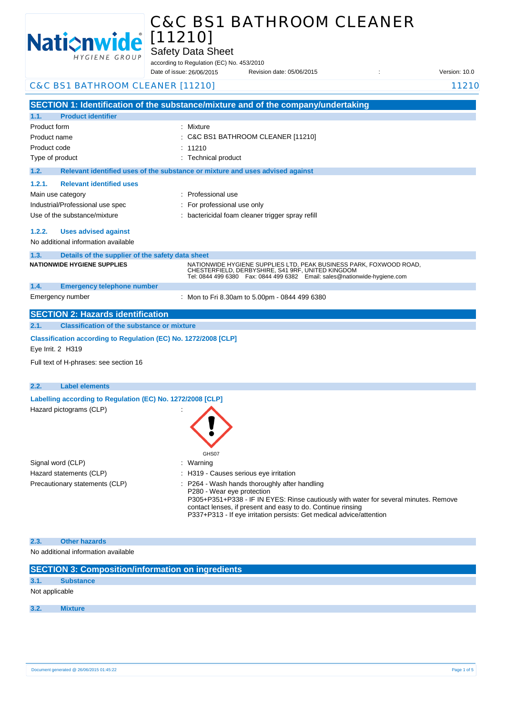

**1.1. Product identifier**

# C&C BS1 BATHROOM CLEANER [11210]

Safety Data Sheet

according to Regulation (EC) No. 453/2010

Date of issue: Revision date: 05/06/2015 : Version: 10.0 Date of issue: 26/06/2015

## C&C BS1 BATHROOM CLEANER [11210] 11210

**SECTION 1: Identification of the substance/mixture and of the company/undertaking** Product form **: Mixture** 

| Product name                                             | $\therefore$ C&C BS1 BATHROOM CLEANER [11210]                                                                                                                                                          |
|----------------------------------------------------------|--------------------------------------------------------------------------------------------------------------------------------------------------------------------------------------------------------|
| Product code                                             | : 11210                                                                                                                                                                                                |
| Type of product                                          | : Technical product                                                                                                                                                                                    |
| 1.2.                                                     | Relevant identified uses of the substance or mixture and uses advised against                                                                                                                          |
| <b>Relevant identified uses</b><br>1.2.1.                |                                                                                                                                                                                                        |
| Main use category                                        | : Professional use                                                                                                                                                                                     |
| Industrial/Professional use spec                         | : For professional use only                                                                                                                                                                            |
| Use of the substance/mixture                             | : bactericidal foam cleaner trigger spray refill                                                                                                                                                       |
| Uses advised against<br>1.2.2.                           |                                                                                                                                                                                                        |
| No additional information available                      |                                                                                                                                                                                                        |
| Details of the supplier of the safety data sheet<br>1.3. |                                                                                                                                                                                                        |
| <b>NATIONWIDE HYGIENE SUPPLIES</b>                       | NATIONWIDE HYGIENE SUPPLIES LTD, PEAK BUSINESS PARK, FOXWOOD ROAD,<br>CHESTERFIELD, DERBYSHIRE, S41 9RF, UNITED KINGDOM<br>Tel: 0844 499 6380  Fax: 0844 499 6382  Email: sales@nationwide-hygiene.com |
| 1.4.<br><b>Emergency telephone number</b>                |                                                                                                                                                                                                        |
| Emergency number                                         | : Mon to Fri 8.30am to 5.00pm - 0844 499 6380                                                                                                                                                          |

## **SECTION 2: Hazards identification 2.1. Classification of the substance or mixture**

**Classification according to Regulation (EC) No. 1272/2008 [CLP]** 

Eye Irrit. 2 H319

Full text of H-phrases: see section 16

| 2.2. | <b>Label elements</b>                                      |                                                                                                                                                                     |
|------|------------------------------------------------------------|---------------------------------------------------------------------------------------------------------------------------------------------------------------------|
|      | Labelling according to Regulation (EC) No. 1272/2008 [CLP] |                                                                                                                                                                     |
|      | Hazard pictograms (CLP)                                    | GHS07                                                                                                                                                               |
|      | Signal word (CLP)                                          | : Warning                                                                                                                                                           |
|      | Hazard statements (CLP)                                    | : H319 - Causes serious eye irritation                                                                                                                              |
|      | Precautionary statements (CLP)                             | : P264 - Wash hands thoroughly after handling<br>P280 - Wear eye protection<br>P305+P351+P338 - IF IN EYES: Rinse cautiously with water for several minutes. Remove |

contact lenses, if present and easy to do. Continue rinsing P337+P313 - If eye irritation persists: Get medical advice/attention

#### **2.3. Other hazards**

No additional information available

| <b>SECTION 3: Composition/information on ingredients</b> |
|----------------------------------------------------------|
| <b>Substance</b>                                         |
| Not applicable                                           |
| <b>Mixture</b>                                           |
|                                                          |
|                                                          |
|                                                          |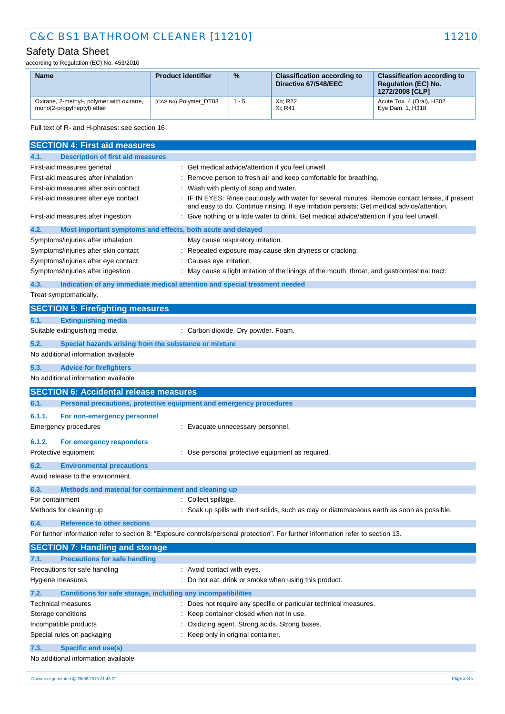# C&C BS1 BATHROOM CLEANER [11210] 11210

## Safety Data Sheet

according to Regulation (EC) No. 453/2010

| <b>Name</b>                                                             | <b>Product identifier</b> | $\frac{9}{6}$ | <b>Classification according to</b><br>Directive 67/548/EEC | <b>Classification according to</b><br><b>Regulation (EC) No.</b><br>1272/2008 [CLP] |
|-------------------------------------------------------------------------|---------------------------|---------------|------------------------------------------------------------|-------------------------------------------------------------------------------------|
| Oxirane, 2-methyl-, polymer with oxirane,<br>mono(2-propylheptyl) ether | (CAS No) Polymer DT03     | $1 - 5$       | Xn; R22<br>Xi: R41                                         | Acute Tox. 4 (Oral), H302<br>Eye Dam. 1, H318                                       |

Full text of R- and H-phrases: see section 16

|                         | <b>SECTION 4: First aid measures</b>                                                         |                                                                                                                                                                                               |
|-------------------------|----------------------------------------------------------------------------------------------|-----------------------------------------------------------------------------------------------------------------------------------------------------------------------------------------------|
| 4.1.                    | <b>Description of first aid measures</b>                                                     |                                                                                                                                                                                               |
|                         | First-aid measures general                                                                   | : Get medical advice/attention if you feel unwell.                                                                                                                                            |
|                         | First-aid measures after inhalation                                                          | Remove person to fresh air and keep comfortable for breathing.                                                                                                                                |
|                         | First-aid measures after skin contact                                                        | Wash with plenty of soap and water.                                                                                                                                                           |
|                         | First-aid measures after eye contact                                                         | IF IN EYES: Rinse cautiously with water for several minutes. Remove contact lenses, if present<br>and easy to do. Continue rinsing. If eye irritation persists: Get medical advice/attention. |
|                         | First-aid measures after ingestion                                                           | Give nothing or a little water to drink. Get medical advice/attention if you feel unwell.                                                                                                     |
| 4.2.                    | Most important symptoms and effects, both acute and delayed                                  |                                                                                                                                                                                               |
|                         | Symptoms/injuries after inhalation                                                           | May cause respiratory irritation.                                                                                                                                                             |
|                         | Symptoms/injuries after skin contact                                                         | Repeated exposure may cause skin dryness or cracking.                                                                                                                                         |
|                         | Symptoms/injuries after eye contact                                                          | Causes eye irritation.                                                                                                                                                                        |
|                         | Symptoms/injuries after ingestion                                                            | May cause a light irritation of the linings of the mouth, throat, and gastrointestinal tract.                                                                                                 |
| 4.3.                    |                                                                                              | Indication of any immediate medical attention and special treatment needed                                                                                                                    |
|                         | Treat symptomatically.                                                                       |                                                                                                                                                                                               |
|                         | <b>SECTION 5: Firefighting measures</b>                                                      |                                                                                                                                                                                               |
| 5.1.                    | <b>Extinguishing media</b>                                                                   |                                                                                                                                                                                               |
|                         | Suitable extinguishing media                                                                 | : Carbon dioxide. Dry powder. Foam.                                                                                                                                                           |
|                         |                                                                                              |                                                                                                                                                                                               |
| 5.2.                    | Special hazards arising from the substance or mixture<br>No additional information available |                                                                                                                                                                                               |
|                         |                                                                                              |                                                                                                                                                                                               |
| 5.3.                    | <b>Advice for firefighters</b>                                                               |                                                                                                                                                                                               |
|                         | No additional information available                                                          |                                                                                                                                                                                               |
|                         | <b>SECTION 6: Accidental release measures</b>                                                |                                                                                                                                                                                               |
| 6.1.                    | Personal precautions, protective equipment and emergency procedures                          |                                                                                                                                                                                               |
| 6.1.1.                  | For non-emergency personnel                                                                  |                                                                                                                                                                                               |
|                         | <b>Emergency procedures</b>                                                                  | : Evacuate unnecessary personnel.                                                                                                                                                             |
| 6.1.2.                  | For emergency responders                                                                     |                                                                                                                                                                                               |
|                         | Protective equipment                                                                         | : Use personal protective equipment as required.                                                                                                                                              |
| 6.2.                    | <b>Environmental precautions</b>                                                             |                                                                                                                                                                                               |
|                         | Avoid release to the environment.                                                            |                                                                                                                                                                                               |
|                         |                                                                                              |                                                                                                                                                                                               |
| 6.3.<br>For containment | Methods and material for containment and cleaning up                                         | Collect spillage.                                                                                                                                                                             |
|                         | Methods for cleaning up                                                                      | Soak up spills with inert solids, such as clay or diatomaceous earth as soon as possible.                                                                                                     |
|                         |                                                                                              |                                                                                                                                                                                               |
| 6.4.                    | <b>Reference to other sections</b>                                                           |                                                                                                                                                                                               |
|                         |                                                                                              | For further information refer to section 8: "Exposure controls/personal protection". For further information refer to section 13.                                                             |
|                         | <b>SECTION 7: Handling and storage</b>                                                       |                                                                                                                                                                                               |
| 7.1.                    | <b>Precautions for safe handling</b>                                                         |                                                                                                                                                                                               |
|                         | Precautions for safe handling                                                                | : Avoid contact with eyes.                                                                                                                                                                    |
|                         | Hygiene measures                                                                             | Do not eat, drink or smoke when using this product.                                                                                                                                           |
| 7.2.                    | Conditions for safe storage, including any incompatibilities                                 |                                                                                                                                                                                               |
|                         | Technical measures                                                                           | Does not require any specific or particular technical measures.                                                                                                                               |
|                         | Storage conditions                                                                           | Keep container closed when not in use.                                                                                                                                                        |
|                         | Incompatible products                                                                        | Oxidizing agent. Strong acids. Strong bases.                                                                                                                                                  |
|                         | Special rules on packaging                                                                   | Keep only in original container.                                                                                                                                                              |
| 7.3.                    | <b>Specific end use(s)</b>                                                                   |                                                                                                                                                                                               |
|                         | No additional information available                                                          |                                                                                                                                                                                               |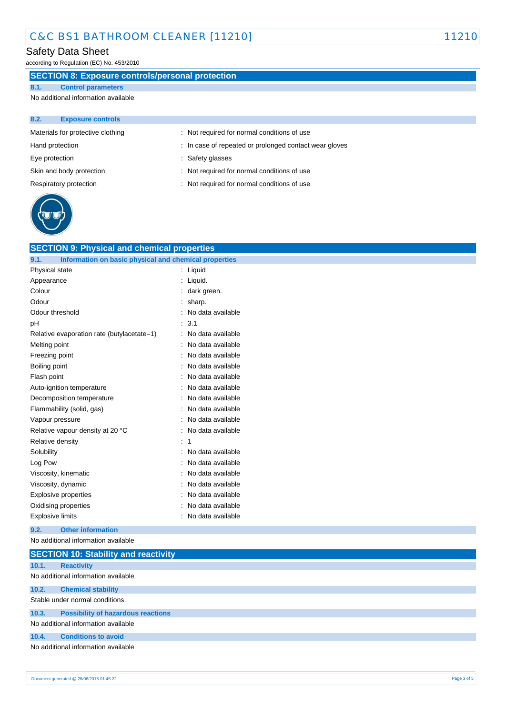# C&C BS1 BATHROOM CLEANER [11210] 11210

## Safety Data Sheet

according to Regulation (EC) No. 453/2010

## **SECTION 8: Exposure controls/personal protection**

## **8.1. Control parameters**

No additional information available

| 8.2.            | <b>Exposure controls</b>          |                                                        |
|-----------------|-----------------------------------|--------------------------------------------------------|
|                 | Materials for protective clothing | : Not required for normal conditions of use            |
| Hand protection |                                   | : In case of repeated or prolonged contact wear gloves |
| Eye protection  |                                   | : Safety glasses                                       |
|                 | Skin and body protection          | : Not required for normal conditions of use            |
|                 | Respiratory protection            | : Not required for normal conditions of use            |
|                 |                                   |                                                        |



| <b>SECTION 9: Physical and chemical properties</b>            |                   |
|---------------------------------------------------------------|-------------------|
| Information on basic physical and chemical properties<br>9.1. |                   |
| Physical state                                                | Liquid            |
| Appearance                                                    | Liquid.           |
| Colour                                                        | dark green.       |
| Odour                                                         | sharp.            |
| Odour threshold                                               | No data available |
| рH                                                            | 3.1               |
| Relative evaporation rate (butylacetate=1)                    | No data available |
| Melting point                                                 | No data available |
| Freezing point                                                | No data available |
| Boiling point                                                 | No data available |
| Flash point                                                   | No data available |
| Auto-ignition temperature                                     | No data available |
| Decomposition temperature                                     | No data available |
| Flammability (solid, gas)                                     | No data available |
| Vapour pressure                                               | No data available |
| Relative vapour density at 20 °C                              | No data available |
| Relative density                                              | 1                 |
| Solubility                                                    | No data available |
| Log Pow                                                       | No data available |
| Viscosity, kinematic                                          | No data available |
| Viscosity, dynamic                                            | No data available |
| Explosive properties                                          | No data available |
| Oxidising properties                                          | No data available |
| <b>Explosive limits</b>                                       | No data available |
|                                                               |                   |

### **9.2. Other information**

No additional information available

|       | <b>SECTION 10: Stability and reactivity</b> |
|-------|---------------------------------------------|
| 10.1. | <b>Reactivity</b>                           |
|       | No additional information available         |
| 10.2. | <b>Chemical stability</b>                   |
|       | Stable under normal conditions.             |
| 10.3. | <b>Possibility of hazardous reactions</b>   |
|       | No additional information available         |
| 10.4. | <b>Conditions to avoid</b>                  |
|       | No additional information available         |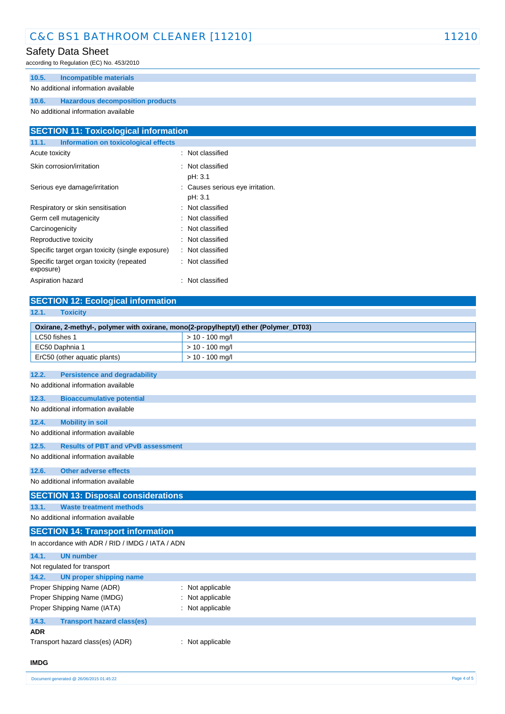# C&C BS1 BATHROOM CLEANER [11210] 11210

## Safety Data Sheet

according to Regulation (EC) No. 453/2010

## **10.5. Incompatible materials**

## No additional information available

### **10.6. Hazardous decomposition products**

No additional information available

| <b>SECTION 11: Toxicological information</b>          |                                             |  |
|-------------------------------------------------------|---------------------------------------------|--|
| Information on toxicological effects<br>11.1.         |                                             |  |
| Acute toxicity                                        | : Not classified                            |  |
| Skin corrosion/irritation                             | : Not classified<br>pH: 3.1                 |  |
| Serious eye damage/irritation                         | : Causes serious eye irritation.<br>pH: 3.1 |  |
| Respiratory or skin sensitisation                     | : Not classified                            |  |
| Germ cell mutagenicity                                | : Not classified                            |  |
| Carcinogenicity                                       | : Not classified                            |  |
| Reproductive toxicity                                 | : Not classified                            |  |
| Specific target organ toxicity (single exposure)      | : Not classified                            |  |
| Specific target organ toxicity (repeated<br>exposure) | : Not classified                            |  |
| Aspiration hazard                                     | Not classified<br>÷                         |  |

# **SECTION 12: Ecological information**

| 12.1.<br><b>Toxicity</b>                                                            |                   |
|-------------------------------------------------------------------------------------|-------------------|
| Oxirane, 2-methyl-, polymer with oxirane, mono(2-propylheptyl) ether (Polymer_DT03) |                   |
| LC50 fishes 1                                                                       | $> 10 - 100$ mg/l |
| EC50 Daphnia 1                                                                      | $> 10 - 100$ mg/l |
| ErC50 (other aquatic plants)                                                        | $> 10 - 100$ mg/l |
|                                                                                     |                   |
| <b>Persistence and degradability</b><br>12.2.                                       |                   |
| No additional information available                                                 |                   |
| <b>Bioaccumulative potential</b><br>12.3.                                           |                   |
| No additional information available                                                 |                   |
| 12.4.<br><b>Mobility in soil</b>                                                    |                   |
| No additional information available                                                 |                   |
| 12.5.<br><b>Results of PBT and vPvB assessment</b>                                  |                   |
| No additional information available                                                 |                   |
|                                                                                     |                   |
| <b>Other adverse effects</b><br>12.6.                                               |                   |
| No additional information available                                                 |                   |
| <b>SECTION 13: Disposal considerations</b>                                          |                   |
| <b>Waste treatment methods</b><br>13.1.                                             |                   |
| No additional information available                                                 |                   |
| <b>SECTION 14: Transport information</b>                                            |                   |
| In accordance with ADR / RID / IMDG / IATA / ADN                                    |                   |
| 14.1.<br><b>UN number</b>                                                           |                   |
| Not regulated for transport                                                         |                   |
| 14.2.<br><b>UN proper shipping name</b>                                             |                   |
| Proper Shipping Name (ADR)                                                          | Not applicable    |
| Proper Shipping Name (IMDG)                                                         | Not applicable    |
| Proper Shipping Name (IATA)                                                         | Not applicable    |
| 14.3.<br><b>Transport hazard class(es)</b>                                          |                   |

#### **ADR**

Transport hazard class(es) (ADR) : Not applicable

## **IMDG**